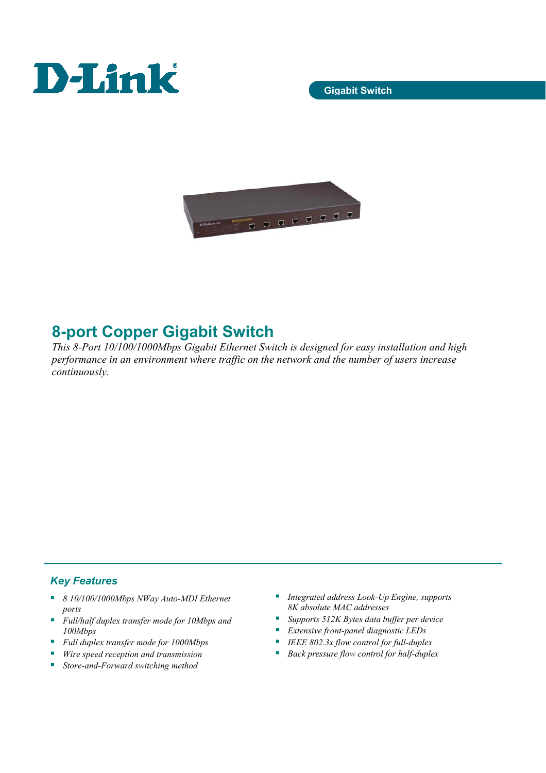



# **8-port Copper Gigabit Switch**

*This 8-Port 10/100/1000Mbps Gigabit Ethernet Switch is designed for easy installation and high performance in an environment where traffic on the network and the number of users increase continuously.* 

## *Key Features*

- *8 10/100/1000Mbps NWay Auto-MDI Ethernet ports*
- *Full/half duplex transfer mode for 10Mbps and 100Mbps*
- *Full duplex transfer mode for 1000Mbps*
- *Wire speed reception and transmission*
- *Store-and-Forward switching method*
- *Integrated address Look-Up Engine, supports 8K absolute MAC addresses*
- *Supports 512K Bytes data buffer per device*
- *Extensive front-panel diagnostic LEDs*
- *IEEE 802.3x flow control for full-duplex*
- *Back pressure flow control for half-duplex*